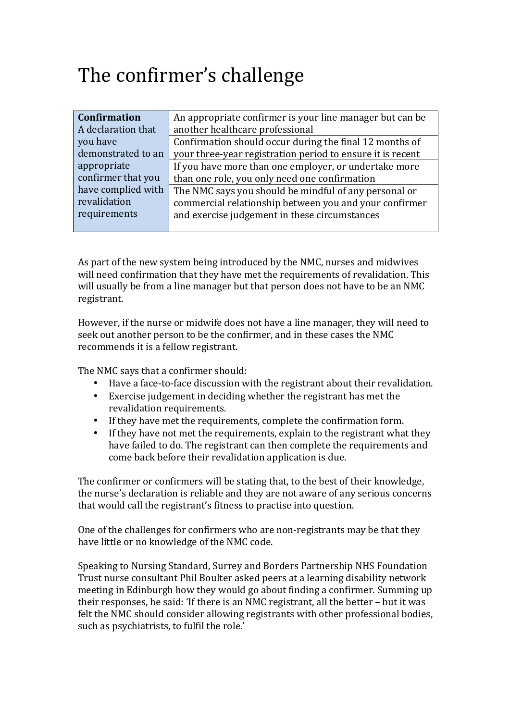## The confirmer's challenge

| <b>Confirmation</b> | An appropriate confirmer is your line manager but can be   |
|---------------------|------------------------------------------------------------|
| A declaration that  | another healthcare professional                            |
| you have            | Confirmation should occur during the final 12 months of    |
| demonstrated to an  | your three-year registration period to ensure it is recent |
| appropriate         | If you have more than one employer, or undertake more      |
| confirmer that you  | than one role, you only need one confirmation              |
| have complied with  | The NMC says you should be mindful of any personal or      |
| revalidation        | commercial relationship between you and your confirmer     |
| requirements        | and exercise judgement in these circumstances              |
|                     |                                                            |

As part of the new system being introduced by the NMC, nurses and midwives will need confirmation that they have met the requirements of revalidation. This will usually be from a line manager but that person does not have to be an NMC registrant.

However, if the nurse or midwife does not have a line manager, they will need to seek out another person to be the confirmer, and in these cases the NMC recommends it is a fellow registrant.

The NMC says that a confirmer should:

- Have a face-to-face discussion with the registrant about their revalidation.
- Exercise iudgement in deciding whether the registrant has met the revalidation requirements.
- If they have met the requirements, complete the confirmation form.
- If they have not met the requirements, explain to the registrant what they have failed to do. The registrant can then complete the requirements and come back before their revalidation application is due.

The confirmer or confirmers will be stating that, to the best of their knowledge, the nurse's declaration is reliable and they are not aware of any serious concerns that would call the registrant's fitness to practise into question.

One of the challenges for confirmers who are non-registrants may be that they have little or no knowledge of the NMC code.

Speaking to Nursing Standard, Surrey and Borders Partnership NHS Foundation Trust nurse consultant Phil Boulter asked peers at a learning disability network meeting in Edinburgh how they would go about finding a confirmer. Summing up their responses, he said: 'If there is an NMC registrant, all the better  $-$  but it was felt the NMC should consider allowing registrants with other professional bodies, such as psychiatrists, to fulfil the role.'